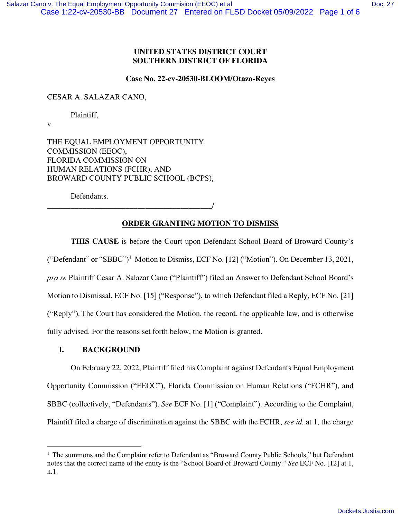### **UNITED STATES DISTRICT COURT SOUTHERN DISTRICT OF FLORIDA**

#### **Case No. 22-cv-20530-BLOOM/Otazo-Reyes**

CESAR A. SALAZAR CANO,

Plaintiff,

v.

THE EQUAL EMPLOYMENT OPPORTUNITY COMMISSION (EEOC), FLORIDA COMMISSION ON HUMAN RELATIONS (FCHR), AND BROWARD COUNTY PUBLIC SCHOOL (BCPS),

Defendants.

\_\_\_\_\_\_\_\_\_\_\_\_\_\_\_\_\_\_\_\_\_\_\_\_\_\_\_\_\_\_\_\_\_\_\_\_\_\_\_\_\_\_/

## **ORDER GRANTING MOTION TO DISMISS**

**THIS CAUSE** is before the Court upon Defendant School Board of Broward County's ("Defendant" or "SBBC")<sup>1</sup> Motion to Dismiss, ECF No. [12] ("Motion"). On December 13, 2021, *pro se* Plaintiff Cesar A. Salazar Cano ("Plaintiff") filed an Answer to Defendant School Board's Motion to Dismissal, ECF No. [15] ("Response"), to which Defendant filed a Reply, ECF No. [21] ("Reply"). The Court has considered the Motion, the record, the applicable law, and is otherwise fully advised. For the reasons set forth below, the Motion is granted.

## **I. BACKGROUND**

 On February 22, 2022, Plaintiff filed his Complaint against Defendants Equal Employment Opportunity Commission ("EEOC"), Florida Commission on Human Relations ("FCHR"), and SBBC (collectively, "Defendants"). *See* ECF No. [1] ("Complaint"). According to the Complaint, Plaintiff filed a charge of discrimination against the SBBC with the FCHR, *see id.* at 1, the charge

<sup>&</sup>lt;sup>1</sup> The summons and the Complaint refer to Defendant as "Broward County Public Schools," but Defendant notes that the correct name of the entity is the "School Board of Broward County." *See* ECF No. [12] at 1, n.1.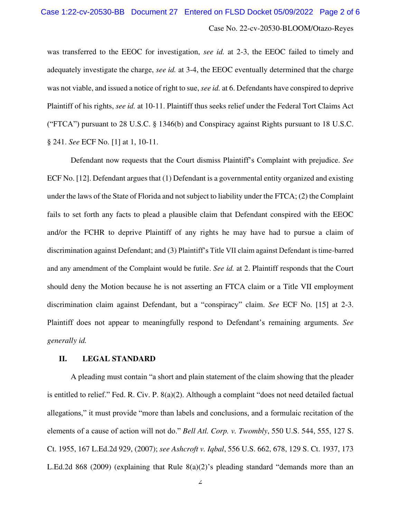Case No. 22-cv-20530-BLOOM/Otazo-Reyes

was transferred to the EEOC for investigation, *see id.* at 2-3, the EEOC failed to timely and adequately investigate the charge, *see id.* at 3-4, the EEOC eventually determined that the charge was not viable, and issued a notice of right to sue, *see id.* at 6. Defendants have conspired to deprive Plaintiff of his rights, *see id.* at 10-11. Plaintiff thus seeks relief under the Federal Tort Claims Act ("FTCA") pursuant to 28 U.S.C. § 1346(b) and Conspiracy against Rights pursuant to 18 U.S.C. § 241. *See* ECF No. [1] at 1, 10-11.

Defendant now requests that the Court dismiss Plaintiff's Complaint with prejudice. *See*  ECF No. [12]. Defendant argues that (1) Defendant is a governmental entity organized and existing under the laws of the State of Florida and not subject to liability under the FTCA; (2) the Complaint fails to set forth any facts to plead a plausible claim that Defendant conspired with the EEOC and/or the FCHR to deprive Plaintiff of any rights he may have had to pursue a claim of discrimination against Defendant; and (3) Plaintiff's Title VII claim against Defendant is time-barred and any amendment of the Complaint would be futile. *See id.* at 2. Plaintiff responds that the Court should deny the Motion because he is not asserting an FTCA claim or a Title VII employment discrimination claim against Defendant, but a "conspiracy" claim. *See* ECF No. [15] at 2-3. Plaintiff does not appear to meaningfully respond to Defendant's remaining arguments. *See generally id.*

# **II. LEGAL STANDARD**

A pleading must contain "a short and plain statement of the claim showing that the pleader is entitled to relief." Fed. R. Civ. P. 8(a)(2). Although a complaint "does not need detailed factual allegations," it must provide "more than labels and conclusions, and a formulaic recitation of the elements of a cause of action will not do." *Bell Atl. Corp. v. Twombly*, 550 U.S. 544, 555, 127 S. Ct. 1955, 167 L.Ed.2d 929, (2007); *see Ashcroft v. Iqbal*, 556 U.S. 662, 678, 129 S. Ct. 1937, 173 L.Ed.2d 868 (2009) (explaining that Rule 8(a)(2)'s pleading standard "demands more than an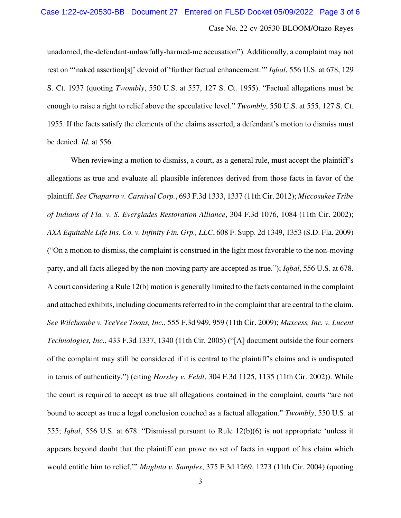unadorned, the-defendant-unlawfully-harmed-me accusation"). Additionally, a complaint may not rest on "'naked assertion[s]' devoid of 'further factual enhancement.'" *Iqbal*, 556 U.S. at 678, 129 S. Ct. 1937 (quoting *Twombly*, 550 U.S. at 557, 127 S. Ct. 1955). "Factual allegations must be enough to raise a right to relief above the speculative level." *Twombly*, 550 U.S. at 555, 127 S. Ct. 1955. If the facts satisfy the elements of the claims asserted, a defendant's motion to dismiss must be denied. *Id.* at 556.

When reviewing a motion to dismiss, a court, as a general rule, must accept the plaintiff's allegations as true and evaluate all plausible inferences derived from those facts in favor of the plaintiff. *See Chaparro v. Carnival Corp.*, 693 F.3d 1333, 1337 (11th Cir. 2012); *Miccosukee Tribe of Indians of Fla. v. S. Everglades Restoration Alliance*, 304 F.3d 1076, 1084 (11th Cir. 2002); *AXA Equitable Life Ins. Co. v. Infinity Fin. Grp., LLC*, 608 F. Supp. 2d 1349, 1353 (S.D. Fla. 2009) ("On a motion to dismiss, the complaint is construed in the light most favorable to the non-moving party, and all facts alleged by the non-moving party are accepted as true."); *Iqbal*, 556 U.S. at 678. A court considering a Rule 12(b) motion is generally limited to the facts contained in the complaint and attached exhibits, including documents referred to in the complaint that are central to the claim. *See Wilchombe v. TeeVee Toons, Inc.*, 555 F.3d 949, 959 (11th Cir. 2009); *Maxcess, Inc. v. Lucent Technologies, Inc.*, 433 F.3d 1337, 1340 (11th Cir. 2005) ("[A] document outside the four corners of the complaint may still be considered if it is central to the plaintiff's claims and is undisputed in terms of authenticity.") (citing *Horsley v. Feldt*, 304 F.3d 1125, 1135 (11th Cir. 2002)). While the court is required to accept as true all allegations contained in the complaint, courts "are not bound to accept as true a legal conclusion couched as a factual allegation." *Twombly*, 550 U.S. at 555; *Iqbal*, 556 U.S. at 678. "Dismissal pursuant to Rule 12(b)(6) is not appropriate 'unless it appears beyond doubt that the plaintiff can prove no set of facts in support of his claim which would entitle him to relief.'" *Magluta v. Samples*, 375 F.3d 1269, 1273 (11th Cir. 2004) (quoting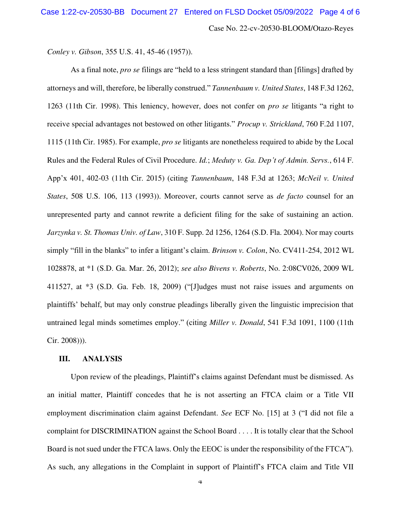*Conley v. Gibson*, 355 U.S. 41, 45-46 (1957)).

As a final note, *pro se* filings are "held to a less stringent standard than [filings] drafted by attorneys and will, therefore, be liberally construed." *Tannenbaum v. United States*, 148 F.3d 1262, 1263 (11th Cir. 1998). This leniency, however, does not confer on *pro se* litigants "a right to receive special advantages not bestowed on other litigants." *Procup v. Strickland*, 760 F.2d 1107, 1115 (11th Cir. 1985). For example, *pro se* litigants are nonetheless required to abide by the Local Rules and the Federal Rules of Civil Procedure. *Id.*; *Meduty v. Ga. Dep't of Admin. Servs.*, 614 F. App'x 401, 402-03 (11th Cir. 2015) (citing *Tannenbaum*, 148 F.3d at 1263; *McNeil v. United States*, 508 U.S. 106, 113 (1993)). Moreover, courts cannot serve as *de facto* counsel for an unrepresented party and cannot rewrite a deficient filing for the sake of sustaining an action. *Jarzynka v. St. Thomas Univ. of Law*, 310 F. Supp. 2d 1256, 1264 (S.D. Fla. 2004). Nor may courts simply "fill in the blanks" to infer a litigant's claim. *Brinson v. Colon*, No. CV411-254, 2012 WL 1028878, at \*1 (S.D. Ga. Mar. 26, 2012); *see also Bivens v. Roberts*, No. 2:08CV026, 2009 WL 411527, at \*3 (S.D. Ga. Feb. 18, 2009) ("[J]udges must not raise issues and arguments on plaintiffs' behalf, but may only construe pleadings liberally given the linguistic imprecision that untrained legal minds sometimes employ." (citing *Miller v. Donald*, 541 F.3d 1091, 1100 (11th Cir. 2008))).

### **III. ANALYSIS**

Upon review of the pleadings, Plaintiff's claims against Defendant must be dismissed. As an initial matter, Plaintiff concedes that he is not asserting an FTCA claim or a Title VII employment discrimination claim against Defendant. *See* ECF No. [15] at 3 ("I did not file a complaint for DISCRIMINATION against the School Board . . . . It is totally clear that the School Board is not sued under the FTCA laws. Only the EEOC is under the responsibility of the FTCA"). As such, any allegations in the Complaint in support of Plaintiff's FTCA claim and Title VII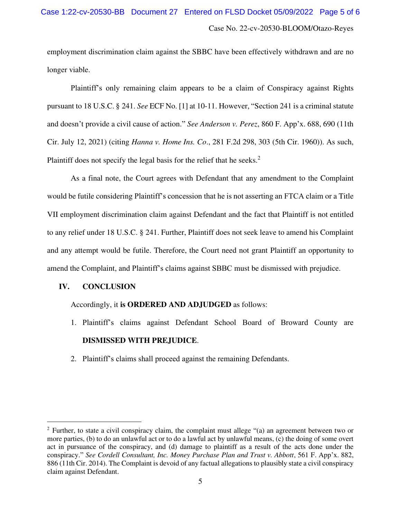employment discrimination claim against the SBBC have been effectively withdrawn and are no longer viable.

Plaintiff's only remaining claim appears to be a claim of Conspiracy against Rights pursuant to 18 U.S.C. § 241. *See* ECF No. [1] at 10-11. However, "Section 241 is a criminal statute and doesn't provide a civil cause of action." *See Anderson v. Perez*, 860 F. App'x. 688, 690 (11th Cir. July 12, 2021) (citing *Hanna v. Home Ins. Co*., 281 F.2d 298, 303 (5th Cir. 1960)). As such, Plaintiff does not specify the legal basis for the relief that he seeks.<sup>2</sup>

As a final note, the Court agrees with Defendant that any amendment to the Complaint would be futile considering Plaintiff's concession that he is not asserting an FTCA claim or a Title VII employment discrimination claim against Defendant and the fact that Plaintiff is not entitled to any relief under 18 U.S.C. § 241. Further, Plaintiff does not seek leave to amend his Complaint and any attempt would be futile. Therefore, the Court need not grant Plaintiff an opportunity to amend the Complaint, and Plaintiff's claims against SBBC must be dismissed with prejudice.

# **IV. CONCLUSION**

# Accordingly, it **is ORDERED AND ADJUDGED** as follows:

- 1. Plaintiff's claims against Defendant School Board of Broward County are **DISMISSED WITH PREJUDICE**.
- 2. Plaintiff's claims shall proceed against the remaining Defendants.

<sup>&</sup>lt;sup>2</sup> Further, to state a civil conspiracy claim, the complaint must allege "(a) an agreement between two or more parties, (b) to do an unlawful act or to do a lawful act by unlawful means, (c) the doing of some overt act in pursuance of the conspiracy, and (d) damage to plaintiff as a result of the acts done under the conspiracy." *See Cordell Consultant, Inc. Money Purchase Plan and Trust v. Abbott*, 561 F. App'x. 882, 886 (11th Cir. 2014). The Complaint is devoid of any factual allegations to plausibly state a civil conspiracy claim against Defendant.